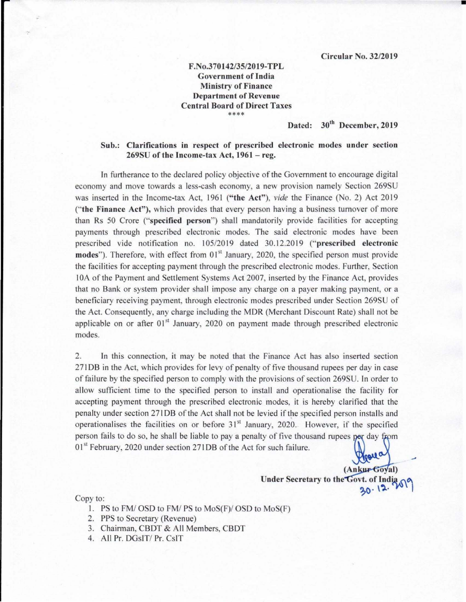•

## F.No.370 142135/2019-TPL Government of India Ministry of Finance Department of Revenue Central Board of Direct Taxes **\*\*\*\***

## Dated: 30'h December, 2019

## Sub.: Clarifications in respect of prescribed electronic modes under section 269SU of the Income-tax Act, 1961 - reg.

In furtherance to the declared policy objective of the Government to encourage digital economy and move towards a less-cash economy, a new provision namely Section 269SU was inserted in the Income-tax Act, 1961 ("the Act"), *vide* the Finance (No. 2) Act 2019 ("the Finance Act"), which provides that every person having a business turnover of more than Rs 50 Crore ("specified person") shall mandatorily provide facilities for accepting payments through prescribed electronic modes. The said electronic modes have been prescribed vide notification no. 105/2019 dated 30.12.2019 ("prescribed electronic modes"). Therefore, with effect from 01<sup>st</sup> January, 2020, the specified person must provide the facilities for accepting payment through the prescribed electronic modes. Further, Section lOA of the Payment and Settlement Systems Act 2007, inserted by the Finance Act, provides that no Bank or system provider shall impose any charge on a payer making payment, or a beneficiary receiving payment, through electronic modes prescribed under Section 269SU of the Act. Consequently, any charge including the MDR (Merchant Discount Rate) shall not be applicable on or after  $01<sup>st</sup>$  January, 2020 on payment made through prescribed electronic modes.

2. In this connection, it may be noted that the Finance Act has also inserted section 271 DB in the Act, which provides for levy of penalty of five thousand rupees per day in case of failure by the specified person to comply with the provisions of section 269SU. In order to allow sufficient time to the specified person to install and operationalise the facility for accepting payment through the prescribed electronic modes, it is hereby clarified that the penalty under section 271 DB of the Act shall not be levied if the specified person installs and operationalises the facilities on or before  $31<sup>st</sup>$  January, 2020. However, if the specified person fails to do so, he shall be liable to pay a penalty of five thousand rupees per day from 01<sup>st</sup> February, 2020 under section 271DB of the Act for such failure.  $\alpha$ 

> $(AnkuF6oval)$ Under Secretary to the Govt. of India  $30.12.$

## Copy to:

- 1. PS to FM/OSD to FM/PS to MoS(F)/OSD to MoS(F)
- 2. PPS to Secretary (Revenue)
- 3. Chairman, CBDT & All Members, CBDT
- 4. All Pr. DGsIT/ Pr. CsIT